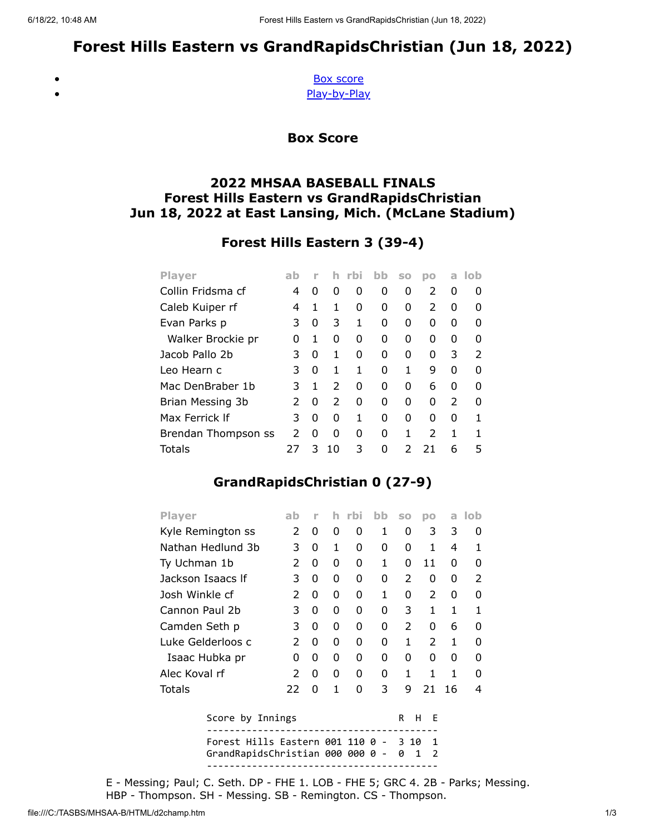# Forest Hills Eastern vs GrandRapidsChristian (Jun 18, 2022)

<span id="page-0-0"></span> $\bullet$  $\bullet$ 

[Box score](#page-0-0) [Play-by-Play](#page-1-0)

Box Score

### 2022 MHSAA BASEBALL FINALS Forest Hills Eastern vs GrandRapidsChristian Jun 18, 2022 at East Lansing, Mich. (McLane Stadium)

## Forest Hills Eastern 3 (39-4)

| <b>Player</b>       | ab | n |               | rbi. | bb | S <sub>0</sub> | po            | a             | -lob          |
|---------------------|----|---|---------------|------|----|----------------|---------------|---------------|---------------|
| Collin Fridsma cf   | 4  | O | O             | O    | O  | 0              | $\mathcal{P}$ | O             |               |
| Caleb Kuiper rf     | 4  | 1 | 1             | 0    | 0  | 0              | 2             | O             | 0             |
| Evan Parks p        | 3  | 0 | 3             | 1    | O  | O              | 0             | O             | O             |
| Walker Brockie pr   | O  | 1 | 0             | 0    | O  | O              | 0             | ŋ             | O             |
| Jacob Pallo 2b      | 3  | 0 | 1             | U    | O  | O              | 0             | 3             | $\mathcal{P}$ |
| Leo Hearn c         | 3  | 0 | 1             | 1    | O  | 1              | q             | O             |               |
| Mac DenBraber 1b    | 3  | 1 | $\mathcal{P}$ | ŋ    | O  | O              | 6             | O             |               |
| Brian Messing 3b    | 2  | 0 | $\mathcal{P}$ | O    | O  | O              | O             | $\mathcal{P}$ |               |
| Max Ferrick If      | 3  | 0 | O             | 1    | ი  | O              | O             | O             |               |
| Brendan Thompson ss | 2  | 0 | O             | O    | O  | 1              | $\mathcal{P}$ | 1             |               |
| Totals              | 27 | 3 | 10            | 3    | ŋ  |                | 21            | 6             | 5             |

## GrandRapidsChristian 0 (27-9)

| <b>Player</b>     | ab            |   | h | rbi    | bb | <b>SO</b>     | DО            | a  | lob           |
|-------------------|---------------|---|---|--------|----|---------------|---------------|----|---------------|
| Kyle Remington ss | $\mathcal{P}$ | 0 | 0 | 0      | 1  | 0             | 3             | 3  | 0             |
| Nathan Hedlund 3b | 3             | 0 | 1 | 0      | 0  | O             | 1             | 4  | 1             |
| Ty Uchman 1b      | $\mathcal{P}$ | 0 | 0 | 0      | 1  | O             | 11            | 0  | O             |
| Jackson Isaacs If | 3             | 0 | 0 | 0      | 0  | $\mathcal{P}$ | 0             | 0  | $\mathcal{P}$ |
| Josh Winkle cf    | 2             | 0 | 0 | 0      | 1  | 0             | 2             | 0  | O             |
| Cannon Paul 2b    | 3             | 0 | 0 | 0      | 0  | 3             | 1             | 1  | 1             |
| Camden Seth p     | 3             | 0 | 0 | 0      | 0  | $\mathcal{P}$ | 0             | 6  | ŋ             |
| Luke Gelderloos c | $\mathcal{P}$ | 0 | 0 | 0      | 0  | 1             | $\mathcal{P}$ | 1  | ŋ             |
| Isaac Hubka pr    | O             | 0 | 0 | 0      | 0  | O             | 0             | O  | O             |
| Alec Koval rf     | $\mathcal{P}$ | 0 | 0 | 0      | 0  | 1             | 1             | 1  | O             |
| Totals            | 22            | 0 | 1 | 0      | 3  | 9             | 21            | 16 | 4             |
| Score by Innings  |               |   | R | F<br>н |    |               |               |    |               |

| $5001$ $C_2$ $V_3$ $T_1$ $T_2$ $T_3$                                                 |  |  |  |  |
|--------------------------------------------------------------------------------------|--|--|--|--|
| Forest Hills Eastern 001 110 0 - 3 10 1<br>GrandRapidsChristian 000 000 0 -  0  1  2 |  |  |  |  |
|                                                                                      |  |  |  |  |

E - Messing; Paul; C. Seth. DP - FHE 1. LOB - FHE 5; GRC 4. 2B - Parks; Messing. HBP - Thompson. SH - Messing. SB - Remington. CS - Thompson.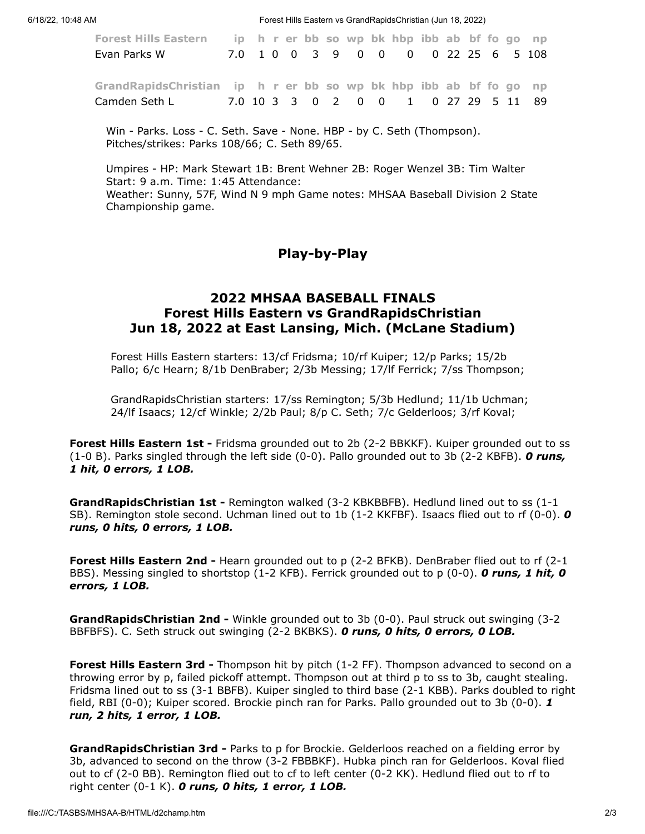6/18/22, 10:48 AM Forest Hills Eastern vs GrandRapidsChristian (Jun 18, 2022)

| Forest Hills Eastern ip h r er bb so wp bk hbp ibb ab bf fo go np<br>Evan Parks W                                                                     |  |  |  |  | 7.0 1 0 0 3 9 0 0 0 0 22 25 6 5 108 |  |  |  |
|-------------------------------------------------------------------------------------------------------------------------------------------------------|--|--|--|--|-------------------------------------|--|--|--|
| GrandRapidsChristian ip h r er bb so wp bk hbp ibb ab bf fo go np<br>Camden Seth L   7.0   10   3   3   0   2   0   0   1   0   27   29   5   11   89 |  |  |  |  |                                     |  |  |  |

Win - Parks. Loss - C. Seth. Save - None. HBP - by C. Seth (Thompson). Pitches/strikes: Parks 108/66; C. Seth 89/65.

<span id="page-1-0"></span>Umpires - HP: Mark Stewart 1B: Brent Wehner 2B: Roger Wenzel 3B: Tim Walter Start: 9 a.m. Time: 1:45 Attendance: Weather: Sunny, 57F, Wind N 9 mph Game notes: MHSAA Baseball Division 2 State Championship game.

#### Play-by-Play

#### 2022 MHSAA BASEBALL FINALS Forest Hills Eastern vs GrandRapidsChristian Jun 18, 2022 at East Lansing, Mich. (McLane Stadium)

Forest Hills Eastern starters: 13/cf Fridsma; 10/rf Kuiper; 12/p Parks; 15/2b Pallo; 6/c Hearn; 8/1b DenBraber; 2/3b Messing; 17/lf Ferrick; 7/ss Thompson;

GrandRapidsChristian starters: 17/ss Remington; 5/3b Hedlund; 11/1b Uchman; 24/lf Isaacs; 12/cf Winkle; 2/2b Paul; 8/p C. Seth; 7/c Gelderloos; 3/rf Koval;

Forest Hills Eastern 1st - Fridsma grounded out to 2b (2-2 BBKKF). Kuiper grounded out to ss (1-0 B). Parks singled through the left side (0-0). Pallo grounded out to 3b (2-2 KBFB). O runs, 1 hit, 0 errors, 1 LOB.

GrandRapidsChristian 1st - Remington walked (3-2 KBKBBFB). Hedlund lined out to ss (1-1 SB). Remington stole second. Uchman lined out to 1b (1-2 KKFBF). Isaacs flied out to rf (0-0). O runs, 0 hits, 0 errors, 1 LOB.

**Forest Hills Eastern 2nd - Hearn grounded out to p (2-2 BFKB). DenBraber flied out to rf (2-1** BBS). Messing singled to shortstop (1-2 KFB). Ferrick grounded out to p (0-0). O runs, 1 hit, O errors, 1 LOB.

GrandRapidsChristian 2nd - Winkle grounded out to 3b (0-0). Paul struck out swinging (3-2 BBFBFS). C. Seth struck out swinging (2-2 BKBKS). O runs, O hits, O errors, O LOB.

Forest Hills Eastern 3rd - Thompson hit by pitch (1-2 FF). Thompson advanced to second on a throwing error by p, failed pickoff attempt. Thompson out at third p to ss to 3b, caught stealing. Fridsma lined out to ss (3-1 BBFB). Kuiper singled to third base (2-1 KBB). Parks doubled to right field, RBI (0-0); Kuiper scored. Brockie pinch ran for Parks. Pallo grounded out to 3b (0-0). 1 run, 2 hits, 1 error, 1 LOB.

Grand Rapids Christian 3rd - Parks to p for Brockie. Gelderloos reached on a fielding error by 3b, advanced to second on the throw (3-2 FBBBKF). Hubka pinch ran for Gelderloos. Koval flied out to cf (2-0 BB). Remington flied out to cf to left center (0-2 KK). Hedlund flied out to rf to right center  $(0-1 K)$ . O runs, O hits, 1 error, 1 LOB.